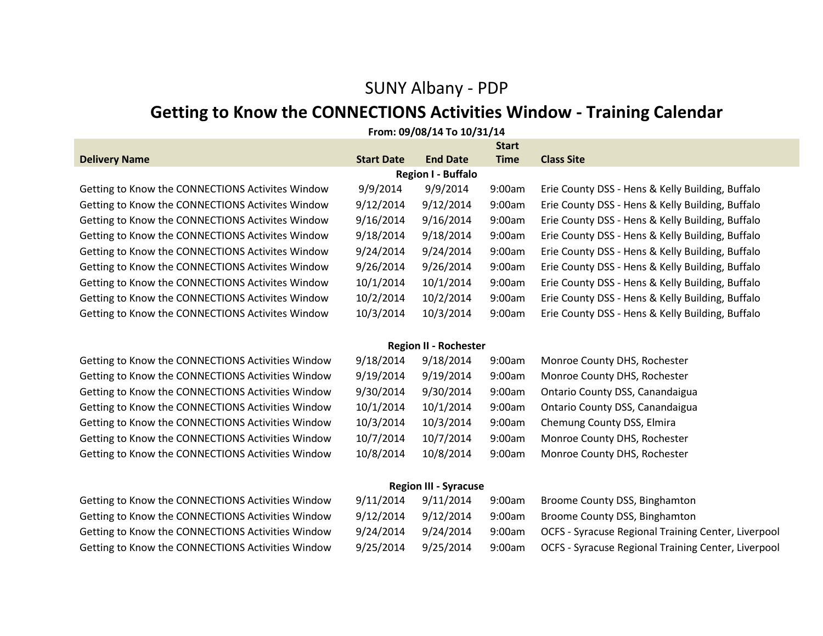## SUNY Albany - PDP

# **Getting to Know the CONNECTIONS Activities Window - Training Calendar**

|                                                   |                   | From: 09/08/14 To 10/31/14   |             |                                                  |  |  |  |  |  |
|---------------------------------------------------|-------------------|------------------------------|-------------|--------------------------------------------------|--|--|--|--|--|
| <b>Start</b>                                      |                   |                              |             |                                                  |  |  |  |  |  |
| <b>Delivery Name</b>                              | <b>Start Date</b> | <b>End Date</b>              | <b>Time</b> | <b>Class Site</b>                                |  |  |  |  |  |
| <b>Region I - Buffalo</b>                         |                   |                              |             |                                                  |  |  |  |  |  |
| Getting to Know the CONNECTIONS Activites Window  | 9/9/2014          | 9/9/2014                     | 9:00am      | Erie County DSS - Hens & Kelly Building, Buffalo |  |  |  |  |  |
| Getting to Know the CONNECTIONS Activites Window  | 9/12/2014         | 9/12/2014                    | 9:00am      | Erie County DSS - Hens & Kelly Building, Buffalo |  |  |  |  |  |
| Getting to Know the CONNECTIONS Activites Window  | 9/16/2014         | 9/16/2014                    | 9:00am      | Erie County DSS - Hens & Kelly Building, Buffalo |  |  |  |  |  |
| Getting to Know the CONNECTIONS Activites Window  | 9/18/2014         | 9/18/2014                    | 9:00am      | Erie County DSS - Hens & Kelly Building, Buffalo |  |  |  |  |  |
| Getting to Know the CONNECTIONS Activites Window  | 9/24/2014         | 9/24/2014                    | 9:00am      | Erie County DSS - Hens & Kelly Building, Buffalo |  |  |  |  |  |
| Getting to Know the CONNECTIONS Activites Window  | 9/26/2014         | 9/26/2014                    | 9:00am      | Erie County DSS - Hens & Kelly Building, Buffalo |  |  |  |  |  |
| Getting to Know the CONNECTIONS Activites Window  | 10/1/2014         | 10/1/2014                    | 9:00am      | Erie County DSS - Hens & Kelly Building, Buffalo |  |  |  |  |  |
| Getting to Know the CONNECTIONS Activites Window  | 10/2/2014         | 10/2/2014                    | 9:00am      | Erie County DSS - Hens & Kelly Building, Buffalo |  |  |  |  |  |
| Getting to Know the CONNECTIONS Activites Window  | 10/3/2014         | 10/3/2014                    | 9:00am      | Erie County DSS - Hens & Kelly Building, Buffalo |  |  |  |  |  |
|                                                   |                   | <b>Region II - Rochester</b> |             |                                                  |  |  |  |  |  |
| Getting to Know the CONNECTIONS Activities Window | 9/18/2014         | 9/18/2014                    | 9:00am      | Monroe County DHS, Rochester                     |  |  |  |  |  |
| Getting to Know the CONNECTIONS Activities Window | 9/19/2014         | 9/19/2014                    | 9:00am      | Monroe County DHS, Rochester                     |  |  |  |  |  |
| Getting to Know the CONNECTIONS Activities Window | 9/30/2014         | 9/30/2014                    | 9:00am      | Ontario County DSS, Canandaigua                  |  |  |  |  |  |
| Getting to Know the CONNECTIONS Activities Window | 10/1/2014         | 10/1/2014                    | 9:00am      | Ontario County DSS, Canandaigua                  |  |  |  |  |  |
| Getting to Know the CONNECTIONS Activities Window | 10/3/2014         | 10/3/2014                    | 9:00am      | Chemung County DSS, Elmira                       |  |  |  |  |  |
| Getting to Know the CONNECTIONS Activities Window | 10/7/2014         | 10/7/2014                    | 9:00am      | Monroe County DHS, Rochester                     |  |  |  |  |  |
| Getting to Know the CONNECTIONS Activities Window | 10/8/2014         | 10/8/2014                    | 9:00am      | Monroe County DHS, Rochester                     |  |  |  |  |  |
|                                                   |                   | <b>Region III - Syracuse</b> |             |                                                  |  |  |  |  |  |

| Getting to Know the CONNECTIONS Activities Window | 9/11/2014 | 9/11/2014 | 9:00am | Broome County DSS, Binghamton                              |
|---------------------------------------------------|-----------|-----------|--------|------------------------------------------------------------|
| Getting to Know the CONNECTIONS Activities Window | 9/12/2014 | 9/12/2014 | 9:00am | Broome County DSS, Binghamton                              |
| Getting to Know the CONNECTIONS Activities Window | 9/24/2014 | 9/24/2014 |        | 9:00am OCFS - Syracuse Regional Training Center, Liverpool |
| Getting to Know the CONNECTIONS Activities Window | 9/25/2014 | 9/25/2014 | 9:00am | <b>OCFS - Syracuse Regional Training Center, Liverpool</b> |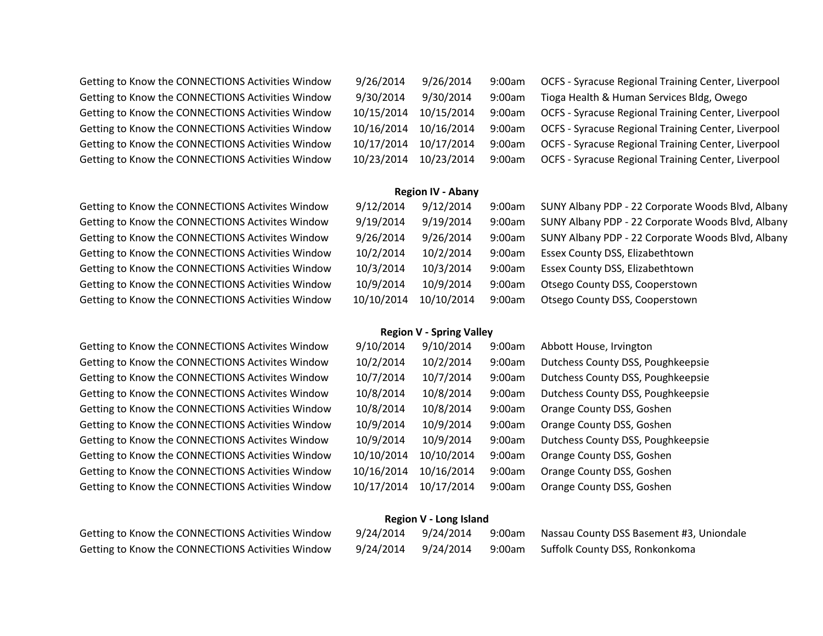Getting to Know the CONNECTIONS Activities Window 9 Getting to Know the CONNECTIONS Activities Window 9. Getting to Know the CONNECTIONS Activities Window 10 Getting to Know the CONNECTIONS Activities Window 10 Getting to Know the CONNECTIONS Activities Window 10 Getting to Know the CONNECTIONS Activities Window 10

Getting to Know the CONNECTIONS Activites Window 9, Getting to Know the CONNECTIONS Activites Window 9, Getting to Know the CONNECTIONS Activites Window 9, Getting to Know the CONNECTIONS Activities Window 10 Getting to Know the CONNECTIONS Activities Window 10 Getting to Know the CONNECTIONS Activities Window 10 Getting to Know the CONNECTIONS Activities Window 10

Getting to Know the CONNECTIONS Activites Window 9 Getting to Know the CONNECTIONS Activites Window 1 Getting to Know the CONNECTIONS Activites Window 1 Getting to Know the CONNECTIONS Activites Window 1 Getting to Know the CONNECTIONS Activities Window 1 Getting to Know the CONNECTIONS Activities Window 1 Getting to Know the CONNECTIONS Activites Window 1 Getting to Know the CONNECTIONS Activities Window 1 Getting to Know the CONNECTIONS Activities Window 1 Getting to Know the CONNECTIONS Activities Window 1

Getting to Know the CONNECTIONS Activities Window Getting to Know the CONNECTIONS Activities Window

| /26/2014  | 9/26/2014  | $9:00$ am | OCFS - Syracuse Regional Training Center, Liverpool |
|-----------|------------|-----------|-----------------------------------------------------|
| /30/2014  | 9/30/2014  | 9:00am    | Tioga Health & Human Services Bldg, Owego           |
| 0/15/2014 | 10/15/2014 | 9:00am    | OCFS - Syracuse Regional Training Center, Liverpool |
| 0/16/2014 | 10/16/2014 | 9:00am    | OCFS - Syracuse Regional Training Center, Liverpool |
| 0/17/2014 | 10/17/2014 | 9:00am    | OCFS - Syracuse Regional Training Center, Liverpool |
| 0/23/2014 | 10/23/2014 | 9:00am    | OCFS - Syracuse Regional Training Center, Liverpool |
|           |            |           |                                                     |

### **Region IV - Abany**

| /12/2014  | 9/12/2014  | 9:00am | SUNY Albany PDP - 22 Corporate Woods Blvd, Albany |
|-----------|------------|--------|---------------------------------------------------|
| /19/2014  | 9/19/2014  | 9:00am | SUNY Albany PDP - 22 Corporate Woods Blvd, Albany |
| /26/2014  | 9/26/2014  | 9:00am | SUNY Albany PDP - 22 Corporate Woods Blvd, Albany |
| 0/2/2014  | 10/2/2014  | 9:00am | Essex County DSS, Elizabethtown                   |
| 0/3/2014  | 10/3/2014  | 9:00am | Essex County DSS, Elizabethtown                   |
| 0/9/2014  | 10/9/2014  | 9:00am | Otsego County DSS, Cooperstown                    |
| )/10/2014 | 10/10/2014 | 9:00am | Otsego County DSS, Cooperstown                    |

#### **Region V - Spring Valley**

| 9/10/2014 | 9/10/2014  | 9:00am | Abbott House, Irvington           |
|-----------|------------|--------|-----------------------------------|
| 10/2/2014 | 10/2/2014  | 9:00am | Dutchess County DSS, Poughkeepsie |
| 10/7/2014 | 10/7/2014  | 9:00am | Dutchess County DSS, Poughkeepsie |
| 10/8/2014 | 10/8/2014  | 9:00am | Dutchess County DSS, Poughkeepsie |
| 10/8/2014 | 10/8/2014  | 9:00am | Orange County DSS, Goshen         |
| 10/9/2014 | 10/9/2014  | 9:00am | Orange County DSS, Goshen         |
| 10/9/2014 | 10/9/2014  | 9:00am | Dutchess County DSS, Poughkeepsie |
| 0/10/2014 | 10/10/2014 | 9:00am | Orange County DSS, Goshen         |
| 0/16/2014 | 10/16/2014 | 9:00am | Orange County DSS, Goshen         |
| 0/17/2014 | 10/17/2014 | 9:00am | Orange County DSS, Goshen         |

### **Region V - Long Island**

| 9/24/2014 | 9/24/2014 |        | 9:00am Nassau County DSS Basement #3, Uniondale |
|-----------|-----------|--------|-------------------------------------------------|
| 9/24/2014 | 9/24/2014 | 9:00am | Suffolk County DSS, Ronkonkoma                  |